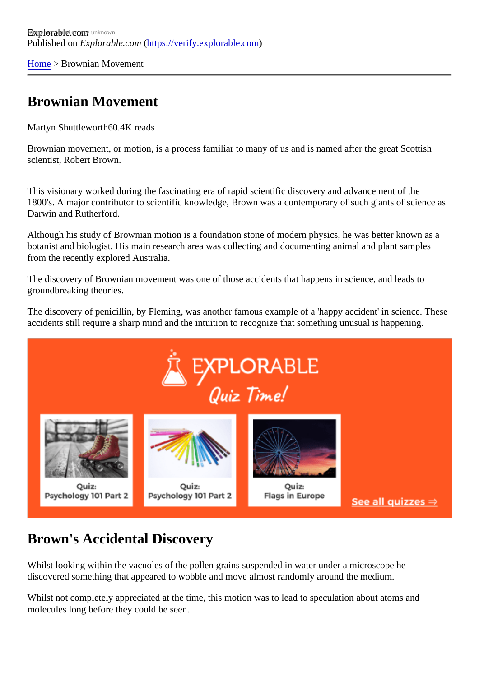[Home](https://verify.explorable.com/)> Brownian Movement

## Brownian Movement

Martyn Shuttlewort<sup>60.4K</sup> reads

Brownian movement, or motion, is a process familiar to many of us and is named after the great Scottish scientist, Robert Brown.

This visionary worked during the fascinating era of rapid scientific discovery and advancement of the 1800's. A major contributor to scientific knowledge, Brown was a contemporary of such giants of science as Darwin and Rutherford.

Although his study of Brownian motion is a foundation stone of modern physics, he was better known as a botanist and biologist. His main research area was collecting and documenting animal and plant samples from the recently explored Australia.

The discovery of Brownian movement was one of those accidents that happens in science, and leads to groundbreaking theories.

The discovery of penicillin, by Fleming, was another famous example of a 'happy accident' in science. The accidents still require a sharp mind and the intuition to recognize that something unusual is happening.

## Brown's Accidental Discovery

Whilst looking within the vacuoles of the pollen grains suspended in water under a microscope he discovered something that appeared to wobble and move almost randomly around the medium.

Whilst not completely appreciated at the time, this motion was to lead to speculation about atoms and molecules long before they could be seen.